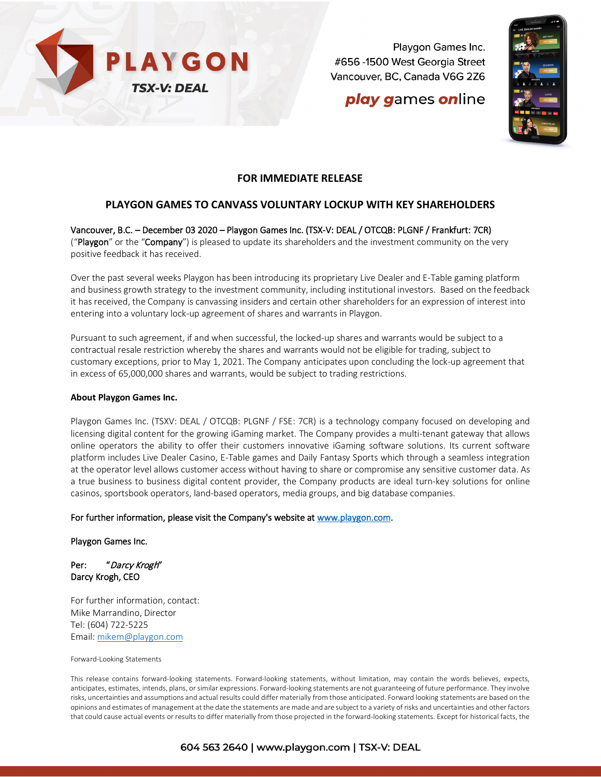

Playgon Games Inc. #656 -1500 West Georgia Street Vancouver, BC, Canada V6G 2Z6

# **play games online**



## **FOR IMMEDIATE RELEASE**

# **PLAYGON GAMES TO CANVASS VOLUNTARY LOCKUP WITH KEY SHAREHOLDERS**

Vancouver, B.C. – December 03 2020 – Playgon Games Inc. (TSX-V: DEAL / OTCQB: PLGNF / Frankfurt: 7CR) ("Playgon" or the "Company") is pleased to update its shareholders and the investment community on the very positive feedback it has received.

Over the past several weeks Playgon has been introducing its proprietary Live Dealer and E-Table gaming platform and business growth strategy to the investment community, including institutional investors. Based on the feedback it has received, the Company is canvassing insiders and certain other shareholders for an expression of interest into entering into a voluntary lock-up agreement of shares and warrants in Playgon.

Pursuant to such agreement, if and when successful, the locked-up shares and warrants would be subject to a contractual resale restriction whereby the shares and warrants would not be eligible for trading, subject to customary exceptions, prior to May 1, 2021. The Company anticipates upon concluding the lock-up agreement that in excess of 65,000,000 shares and warrants, would be subject to trading restrictions.

#### **About Playgon Games Inc.**

Playgon Games Inc. (TSXV: DEAL / OTCQB: PLGNF / FSE: 7CR) is a technology company focused on developing and licensing digital content for the growing iGaming market. The Company provides a multi-tenant gateway that allows online operators the ability to offer their customers innovative iGaming software solutions. Its current software platform includes Live Dealer Casino, E-Table games and Daily Fantasy Sports which through a seamless integration at the operator level allows customer access without having to share or compromise any sensitive customer data. As a true business to business digital content provider, the Company products are ideal turn-key solutions for online casinos, sportsbook operators, land-based operators, media groups, and big database companies.

### For further information, please visit the Company's website at [www.playgon.com.](http://www.playgon.com/)

Playgon Games Inc.

### Per: "Darcy Krogh" Darcy Krogh, CEO

For further information, contact: Mike Marrandino, Director Tel: (604) 722-5225 Email: [mikem@playgon.com](mailto:mikem@playgon.com)

#### Forward-Looking Statements

This release contains forward-looking statements. Forward-looking statements, without limitation, may contain the words believes, expects, anticipates, estimates, intends, plans, or similar expressions. Forward-looking statements are not guaranteeing of future performance. They involve risks, uncertainties and assumptions and actual results could differ materially from those anticipated. Forward looking statements are based on the opinions and estimates of management at the date the statements are made and are subject to a variety of risks and uncertainties and other factors that could cause actual events or results to differ materially from those projected in the forward-looking statements. Except for historical facts, the

## 604 563 2640 | www.playgon.com | TSX-V: DEAL